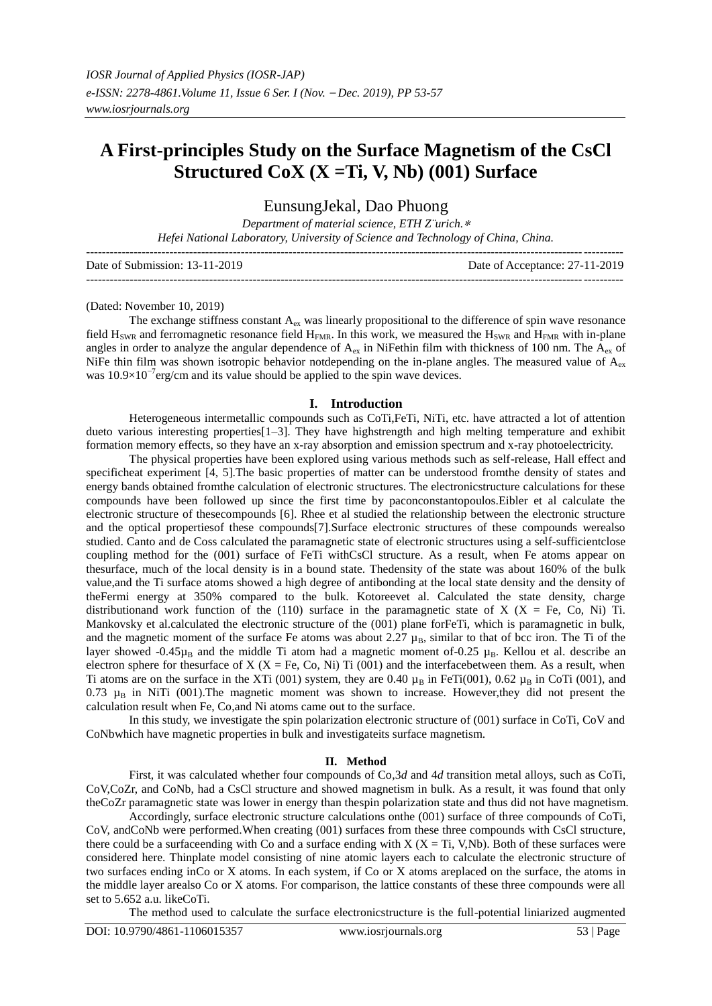# **A First-principles Study on the Surface Magnetism of the CsCl Structured CoX (X =Ti, V, Nb) (001) Surface**

EunsungJekal, Dao Phuong

*Department of material science, ETH Z¨urich.*<sup>∗</sup> *Hefei National Laboratory, University of Science and Technology of China, China.*

| Date of Submission: 13-11-2019 | Date of Acceptance: 27-11-2019 |
|--------------------------------|--------------------------------|
|                                |                                |

(Dated: November 10, 2019)

The exchange stiffness constant  $A_{ex}$  was linearly propositional to the difference of spin wave resonance field  $H<sub>SWR</sub>$  and ferromagnetic resonance field  $H<sub>FMR</sub>$ . In this work, we measured the  $H<sub>SWR</sub>$  and  $H<sub>FMR</sub>$  with in-plane angles in order to analyze the angular dependence of  $A_{\rm ex}$  in NiFethin film with thickness of 100 nm. The  $A_{\rm ex}$  of NiFe thin film was shown isotropic behavior notdepending on the in-plane angles. The measured value of  $A_{\rm ex}$ was 10.9×10<sup>-7</sup>erg/cm and its value should be applied to the spin wave devices.

#### **I. Introduction**

Heterogeneous intermetallic compounds such as CoTi,FeTi, NiTi, etc. have attracted a lot of attention dueto various interesting properties[1–3]. They have highstrength and high melting temperature and exhibit formation memory effects, so they have an x-ray absorption and emission spectrum and x-ray photoelectricity.

The physical properties have been explored using various methods such as self-release, Hall effect and specificheat experiment [4, 5].The basic properties of matter can be understood fromthe density of states and energy bands obtained fromthe calculation of electronic structures. The electronicstructure calculations for these compounds have been followed up since the first time by paconconstantopoulos.Eibler et al calculate the electronic structure of thesecompounds [6]. Rhee et al studied the relationship between the electronic structure and the optical propertiesof these compounds[7].Surface electronic structures of these compounds werealso studied. Canto and de Coss calculated the paramagnetic state of electronic structures using a self-sufficientclose coupling method for the (001) surface of FeTi withCsCl structure. As a result, when Fe atoms appear on thesurface, much of the local density is in a bound state. Thedensity of the state was about 160% of the bulk value,and the Ti surface atoms showed a high degree of antibonding at the local state density and the density of theFermi energy at 350% compared to the bulk. Kotoreevet al. Calculated the state density, charge distributionand work function of the (110) surface in the paramagnetic state of  $X$  ( $X = Fe$ , Co, Ni) Ti. Mankovsky et al.calculated the electronic structure of the (001) plane forFeTi, which is paramagnetic in bulk, and the magnetic moment of the surface Fe atoms was about 2.27  $\mu_B$ , similar to that of bcc iron. The Ti of the layer showed -0.45 $\mu_B$  and the middle Ti atom had a magnetic moment of-0.25  $\mu_B$ . Kellou et al. describe an electron sphere for thesurface of  $X$  ( $X = Fe$ , Co, Ni) Ti (001) and the interfacebetween them. As a result, when Ti atoms are on the surface in the XTi (001) system, they are 0.40  $\mu_B$  in FeTi(001), 0.62  $\mu_B$  in CoTi (001), and 0.73  $\mu_B$  in NiTi (001). The magnetic moment was shown to increase. However, they did not present the calculation result when Fe, Co,and Ni atoms came out to the surface.

In this study, we investigate the spin polarization electronic structure of (001) surface in CoTi, CoV and CoNbwhich have magnetic properties in bulk and investigateits surface magnetism.

### **II. Method**

First, it was calculated whether four compounds of Co,3*d* and 4*d* transition metal alloys, such as CoTi, CoV,CoZr, and CoNb, had a CsCl structure and showed magnetism in bulk. As a result, it was found that only theCoZr paramagnetic state was lower in energy than thespin polarization state and thus did not have magnetism.

Accordingly, surface electronic structure calculations onthe (001) surface of three compounds of CoTi, CoV, andCoNb were performed.When creating (001) surfaces from these three compounds with CsCl structure, there could be a surfaceending with Co and a surface ending with  $X$  ( $X = Ti$ , V,Nb). Both of these surfaces were considered here. Thinplate model consisting of nine atomic layers each to calculate the electronic structure of two surfaces ending inCo or X atoms. In each system, if Co or X atoms areplaced on the surface, the atoms in the middle layer arealso Co or X atoms. For comparison, the lattice constants of these three compounds were all set to 5.652 a.u. likeCoTi.

The method used to calculate the surface electronicstructure is the full-potential liniarized augmented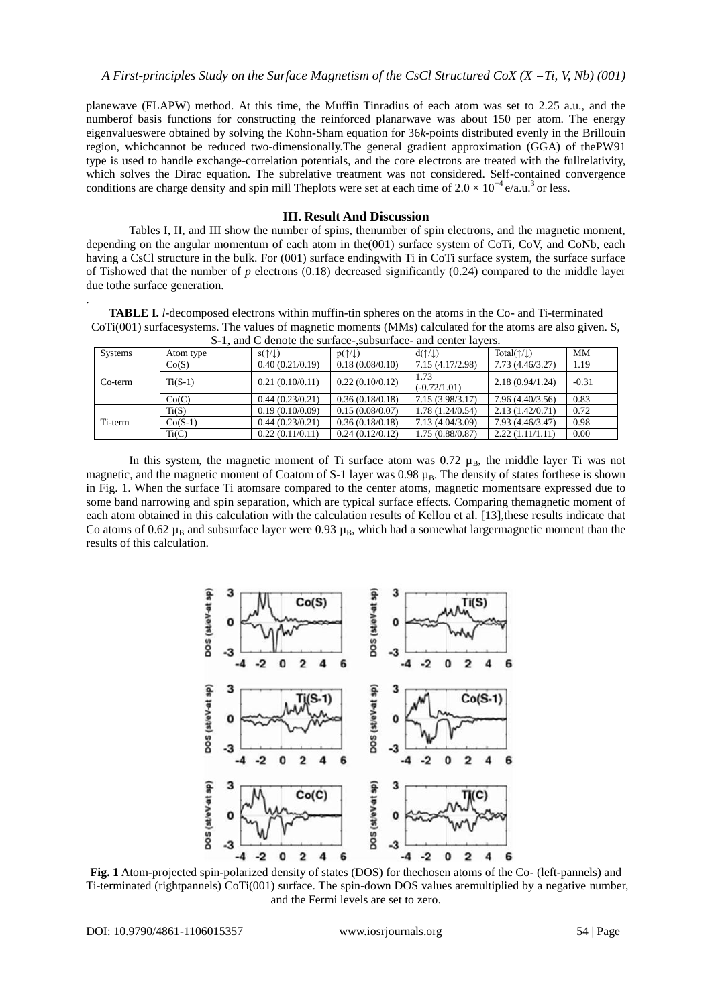planewave (FLAPW) method. At this time, the Muffin Tinradius of each atom was set to 2.25 a.u., and the numberof basis functions for constructing the reinforced planarwave was about 150 per atom. The energy eigenvalueswere obtained by solving the Kohn-Sham equation for 36*k*-points distributed evenly in the Brillouin region, whichcannot be reduced two-dimensionally.The general gradient approximation (GGA) of thePW91 type is used to handle exchange-correlation potentials, and the core electrons are treated with the fullrelativity, which solves the Dirac equation. The subrelative treatment was not considered. Self-contained convergence conditions are charge density and spin mill Theplots were set at each time of  $2.0 \times 10^{-4}$  e/a.u.<sup>3</sup> or less.

## **III. Result And Discussion**

Tables I, II, and III show the number of spins, thenumber of spin electrons, and the magnetic moment, depending on the angular momentum of each atom in the(001) surface system of CoTi, CoV, and CoNb, each having a CsCl structure in the bulk. For (001) surface endingwith Ti in CoTi surface system, the surface surface of Tishowed that the number of  $p$  electrons (0.18) decreased significantly (0.24) compared to the middle layer due tothe surface generation.

**TABLE I.** *l*-decomposed electrons within muffin-tin spheres on the atoms in the Co- and Ti-terminated CoTi(001) surfacesystems. The values of magnetic moments (MMs) calculated for the atoms are also given. S,  $S-1$ , and  $C$  denote the surface-, subsurface-, and center layers.

| $5-1$ , and C denote the surface-subsurface- and center favors. |           |                          |                          |                          |                                |         |  |
|-----------------------------------------------------------------|-----------|--------------------------|--------------------------|--------------------------|--------------------------------|---------|--|
| <b>Systems</b>                                                  | Atom type | $s(\uparrow/\downarrow)$ | $p(\uparrow/\downarrow)$ | $d(\uparrow/\downarrow)$ | Total( $\uparrow/\downarrow$ ) | MM      |  |
| $Co-term$                                                       | Co(S)     | 0.40(0.21/0.19)          | 0.18(0.08/0.10)          | 7.15 (4.17/2.98)         | 7.73 (4.46/3.27)               | 1.19    |  |
|                                                                 | $Ti(S-1)$ | 0.21(0.10/0.11)          | 0.22(0.10/0.12)          | 1.73<br>$(-0.72/1.01)$   | 2.18(0.94/1.24)                | $-0.31$ |  |
|                                                                 | Co(C)     | 0.44(0.23/0.21)          | 0.36(0.18/0.18)          | 7.15(3.98/3.17)          | 7.96 (4.40/3.56)               | 0.83    |  |
| Ti-term                                                         | Ti(S)     | 0.19(0.10/0.09)          | 0.15(0.08/0.07)          | 1.78(1.24/0.54)          | 2.13(1.42/0.71)                | 0.72    |  |
|                                                                 | $Co(S-1)$ | 0.44(0.23/0.21)          | 0.36(0.18/0.18)          | 7.13 (4.04/3.09)         | 7.93 (4.46/3.47)               | 0.98    |  |
|                                                                 | Ti(C)     | 0.22(0.11/0.11)          | 0.24(0.12/0.12)          | 1.75(0.88/0.87)          | 2.22(1.11/1.11)                | 0.00    |  |

In this system, the magnetic moment of Ti surface atom was 0.72  $\mu_B$ , the middle layer Ti was not magnetic, and the magnetic moment of Coatom of S-1 layer was 0.98  $\mu_B$ . The density of states forthese is shown in Fig. 1. When the surface Ti atomsare compared to the center atoms, magnetic momentsare expressed due to some band narrowing and spin separation, which are typical surface effects. Comparing themagnetic moment of each atom obtained in this calculation with the calculation results of Kellou et al. [13], these results indicate that Co atoms of 0.62  $\mu_B$  and subsurface layer were 0.93  $\mu_B$ , which had a somewhat largermagnetic moment than the results of this calculation.



**Fig. 1** Atom-projected spin-polarized density of states (DOS) for the chosen atoms of the Co- (left-pannels) and Ti-terminated (rightpannels) CoTi(001) surface. The spin-down DOS values aremultiplied by a negative number, and the Fermi levels are set to zero.

.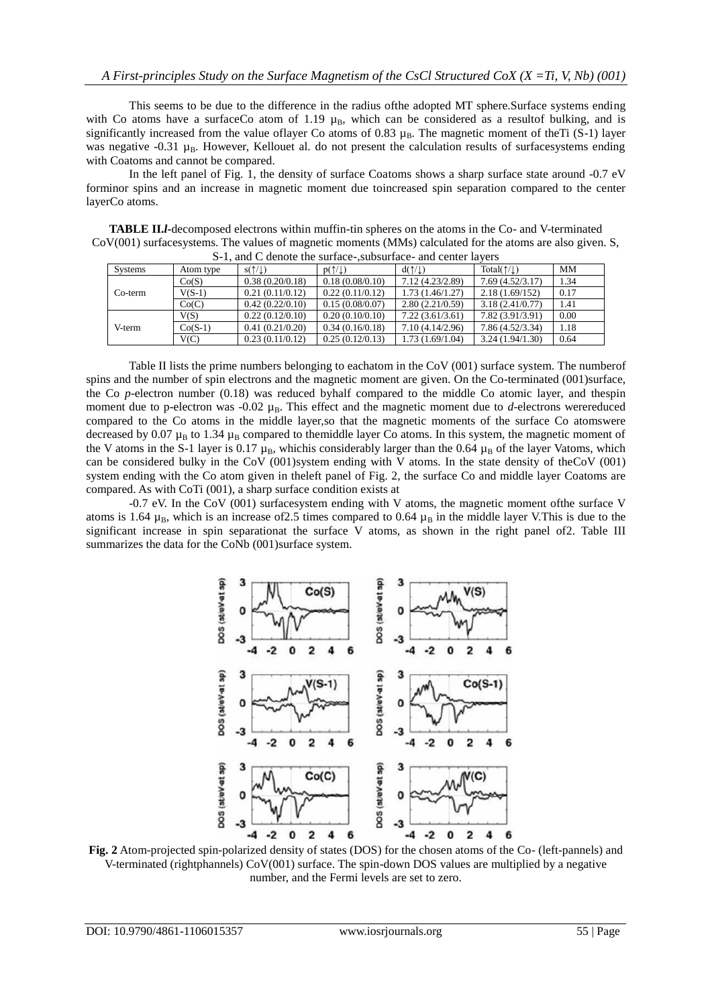This seems to be due to the difference in the radius ofthe adopted MT sphere.Surface systems ending with Co atoms have a surfaceCo atom of 1.19  $\mu_B$ , which can be considered as a resultof bulking, and is significantly increased from the value of layer Co atoms of 0.83  $\mu_B$ . The magnetic moment of theTi (S-1) layer was negative  $-0.31 \mu_B$ . However, Kellouet al. do not present the calculation results of surfacesystems ending with Coatoms and cannot be compared.

In the left panel of Fig. 1, the density of surface Coatoms shows a sharp surface state around -0.7 eV forminor spins and an increase in magnetic moment due toincreased spin separation compared to the center layerCo atoms.

**TABLE II.***l***-**decomposed electrons within muffin-tin spheres on the atoms in the Co- and V-terminated CoV(001) surfacesystems. The values of magnetic moments (MMs) calculated for the atoms are also given. S, S-1, and C denote the surface-, subsurface- and center layers

| o 1, and C denote the surface , subsurface and center favors |           |                   |                          |                          |                              |      |
|--------------------------------------------------------------|-----------|-------------------|--------------------------|--------------------------|------------------------------|------|
| <b>Systems</b>                                               | Atom type | $s(1/\downarrow)$ | $p(\uparrow/\downarrow)$ | $d(\uparrow/\downarrow)$ | $Total(\uparrow/\downarrow)$ | MМ   |
|                                                              | Co(S)     | 0.38(0.20/0.18)   | 0.18(0.08/0.10)          | 7.12 (4.23/2.89)         | 7.69(4.52/3.17)              | 1.34 |
| $Co-term$                                                    | $V(S-1)$  | 0.21(0.11/0.12)   | 0.22(0.11/0.12)          | 1.73 (1.46/1.27)         | 2.18(1.69/152)               | 0.17 |
|                                                              | Co(C)     | 0.42(0.22/0.10)   | 0.15(0.08/0.07)          | 2.80(2.21/0.59)          | 3.18(2.41/0.77)              | 1.41 |
| V-term                                                       | V(S)      | 0.22(0.12/0.10)   | 0.20(0.10/0.10)          | 7.22(3.61/3.61)          | 7.82 (3.91/3.91)             | 0.00 |
|                                                              | $Co(S-1)$ | 0.41(0.21/0.20)   | 0.34(0.16/0.18)          | 7.10(4.14/2.96)          | 7.86 (4.52/3.34)             | 1.18 |
|                                                              | V(C)      | 0.23(0.11/0.12)   | 0.25(0.12/0.13)          | 1.73 (1.69/1.04)         | 3.24(1.94/1.30)              | 0.64 |

Table II lists the prime numbers belonging to eachatom in the CoV (001) surface system. The numberof spins and the number of spin electrons and the magnetic moment are given. On the Co-terminated (001)surface, the Co *p*-electron number (0.18) was reduced byhalf compared to the middle Co atomic layer, and thespin moment due to p-electron was  $-0.02 \mu_B$ . This effect and the magnetic moment due to *d*-electrons were reduced compared to the Co atoms in the middle layer,so that the magnetic moments of the surface Co atomswere decreased by 0.07  $\mu_B$  to 1.34  $\mu_B$  compared to themiddle layer Co atoms. In this system, the magnetic moment of the V atoms in the S-1 layer is 0.17  $\mu_B$ , whichis considerably larger than the 0.64  $\mu_B$  of the layer Vatoms, which can be considered bulky in the CoV (001)system ending with V atoms. In the state density of theCoV (001) system ending with the Co atom given in theleft panel of Fig. 2, the surface Co and middle layer Coatoms are compared. As with CoTi (001), a sharp surface condition exists at

-0.7 eV. In the CoV (001) surfacesystem ending with V atoms, the magnetic moment ofthe surface V atoms is 1.64  $\mu_B$ , which is an increase of 2.5 times compared to 0.64  $\mu_B$  in the middle layer V.This is due to the significant increase in spin separationat the surface V atoms, as shown in the right panel of2. Table III summarizes the data for the CoNb (001)surface system.



**Fig. 2** Atom-projected spin-polarized density of states (DOS) for the chosen atoms of the Co- (left-pannels) and V-terminated (rightphannels) CoV(001) surface. The spin-down DOS values are multiplied by a negative number, and the Fermi levels are set to zero.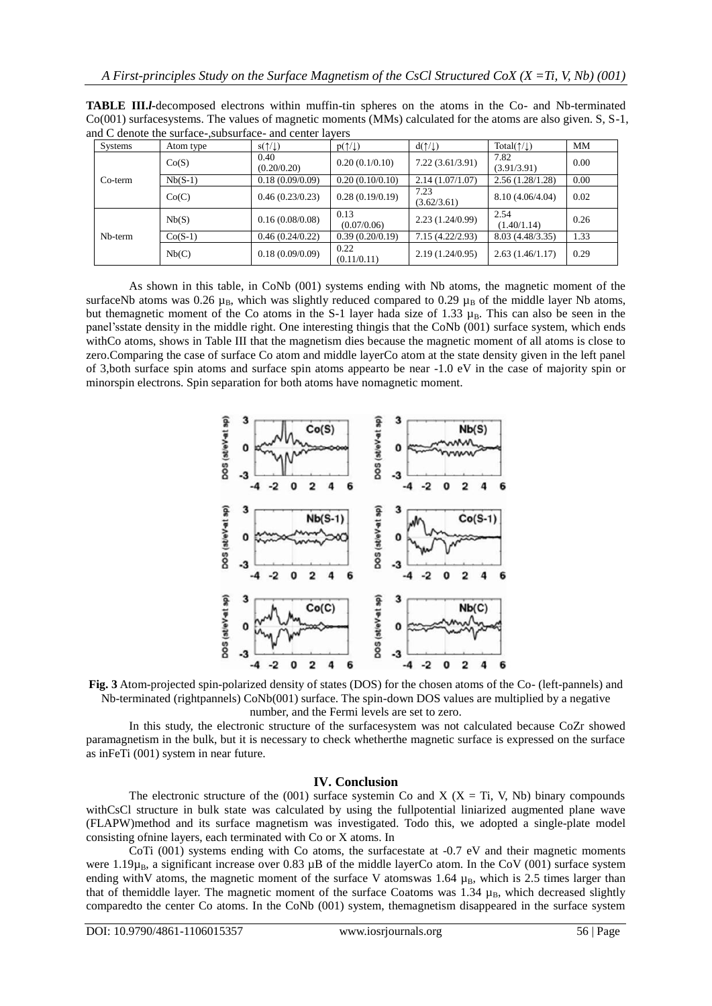|           |           | $\mathbf{u}$ and $\mathbf{u}$ are $\mathbf{u}$ and $\mathbf{u}$ and $\mathbf{u}$ are $\mathbf{u}$ and $\mathbf{u}$ are $\mathbf{u}$ |                          |                          |                                |           |
|-----------|-----------|-------------------------------------------------------------------------------------------------------------------------------------|--------------------------|--------------------------|--------------------------------|-----------|
| Systems   | Atom type | $s(\uparrow/\downarrow)$                                                                                                            | $p(\uparrow/\downarrow)$ | $d(\uparrow/\downarrow)$ | Total( $\uparrow/\downarrow$ ) | <b>MM</b> |
|           | Co(S)     | 0.40<br>(0.20/0.20)                                                                                                                 | 0.20(0.1/0.10)           | 7.22(3.61/3.91)          | 7.82<br>(3.91/3.91)            | 0.00      |
| $Co-term$ | $Nb(S-1)$ | 0.18(0.09/0.09)                                                                                                                     | 0.20(0.10/0.10)          | 2.14(1.07/1.07)          | 2.56(1.28/1.28)                | 0.00      |
|           | Co(C)     | 0.46(0.23/0.23)                                                                                                                     | 0.28(0.19/0.19)          | 7.23<br>(3.62/3.61)      | 8.10 (4.06/4.04)               | 0.02      |
|           | Nb(S)     | 0.16(0.08/0.08)                                                                                                                     | 0.13<br>(0.07/0.06)      | 2.23(1.24/0.99)          | 2.54<br>(1.40/1.14)            | 0.26      |
| Nb-term   | $Co(S-1)$ | 0.46(0.24/0.22)                                                                                                                     | 0.39(0.20/0.19)          | 7.15(4.22/2.93)          | 8.03 (4.48/3.35)               | 1.33      |
|           | Nb(C)     | 0.18(0.09/0.09)                                                                                                                     | 0.22<br>(0.11/0.11)      | 2.19(1.24/0.95)          | 2.63(1.46/1.17)                | 0.29      |

**TABLE III.***l***-**decomposed electrons within muffin-tin spheres on the atoms in the Co- and Nb-terminated Co(001) surfacesystems. The values of magnetic moments (MMs) calculated for the atoms are also given. S, S-1, and  $\overline{C}$  denote the surface- subsurface- and center layer

As shown in this table, in CoNb (001) systems ending with Nb atoms, the magnetic moment of the surfaceNb atoms was 0.26  $\mu_B$ , which was slightly reduced compared to 0.29  $\mu_B$  of the middle layer Nb atoms, but themagnetic moment of the Co atoms in the S-1 layer hada size of 1.33  $\mu_B$ . This can also be seen in the panel'sstate density in the middle right. One interesting thingis that the CoNb (001) surface system, which ends withCo atoms, shows in Table III that the magnetism dies because the magnetic moment of all atoms is close to zero.Comparing the case of surface Co atom and middle layerCo atom at the state density given in the left panel of 3,both surface spin atoms and surface spin atoms appearto be near -1.0 eV in the case of majority spin or minorspin electrons. Spin separation for both atoms have nomagnetic moment.



**Fig. 3** Atom-projected spin-polarized density of states (DOS) for the chosen atoms of the Co- (left-pannels) and Nb-terminated (rightpannels) CoNb(001) surface. The spin-down DOS values are multiplied by a negative number, and the Fermi levels are set to zero.

In this study, the electronic structure of the surfacesystem was not calculated because CoZr showed paramagnetism in the bulk, but it is necessary to check whetherthe magnetic surface is expressed on the surface as inFeTi (001) system in near future.

## **IV. Conclusion**

The electronic structure of the (001) surface systemin Co and X ( $X = Ti$ , V, Nb) binary compounds withCsCl structure in bulk state was calculated by using the fullpotential liniarized augmented plane wave (FLAPW)method and its surface magnetism was investigated. Todo this, we adopted a single-plate model consisting ofnine layers, each terminated with Co or X atoms. In

CoTi (001) systems ending with Co atoms, the surfacestate at -0.7 eV and their magnetic moments were 1.19 $\mu_B$ , a significant increase over 0.83  $\mu$ B of the middle layerCo atom. In the CoV (001) surface system ending with V atoms, the magnetic moment of the surface V atomswas 1.64  $\mu_B$ , which is 2.5 times larger than that of themiddle layer. The magnetic moment of the surface Coatoms was  $1.34 \mu_B$ , which decreased slightly comparedto the center Co atoms. In the CoNb (001) system, themagnetism disappeared in the surface system